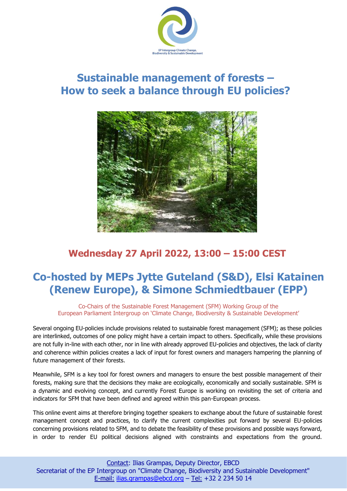

# **Sustainable management of forests – How to seek a balance through EU policies?**



## **Wednesday 27 April 2022, 13:00 – 15:00 CEST**

# **Co-hosted by MEPs Jytte Guteland (S&D), Elsi Katainen (Renew Europe), & Simone Schmiedtbauer (EPP)**

Co-Chairs of the Sustainable Forest Management (SFM) Working Group of the European Parliament Intergroup on 'Climate Change, Biodiversity & Sustainable Development'

Several ongoing EU-policies include provisions related to sustainable forest management (SFM); as these policies are interlinked, outcomes of one policy might have a certain impact to others. Specifically, while these provisions are not fully in-line with each other, nor in line with already approved EU-policies and objectives, the lack of clarity and coherence within policies creates a lack of input for forest owners and managers hampering the planning of future management of their forests.

Meanwhile, SFM is a key tool for forest owners and managers to ensure the best possible management of their forests, making sure that the decisions they make are ecologically, economically and socially sustainable. SFM is a dynamic and evolving concept, and currently Forest Europe is working on revisiting the set of criteria and indicators for SFM that have been defined and agreed within this pan-European process.

This online event aims at therefore bringing together speakers to exchange about the future of sustainable forest management concept and practices, to clarify the current complexities put forward by several EU-policies concerning provisions related to SFM, and to debate the feasibility of these provisions and possible ways forward, in order to render EU political decisions aligned with constraints and expectations from the ground.

l